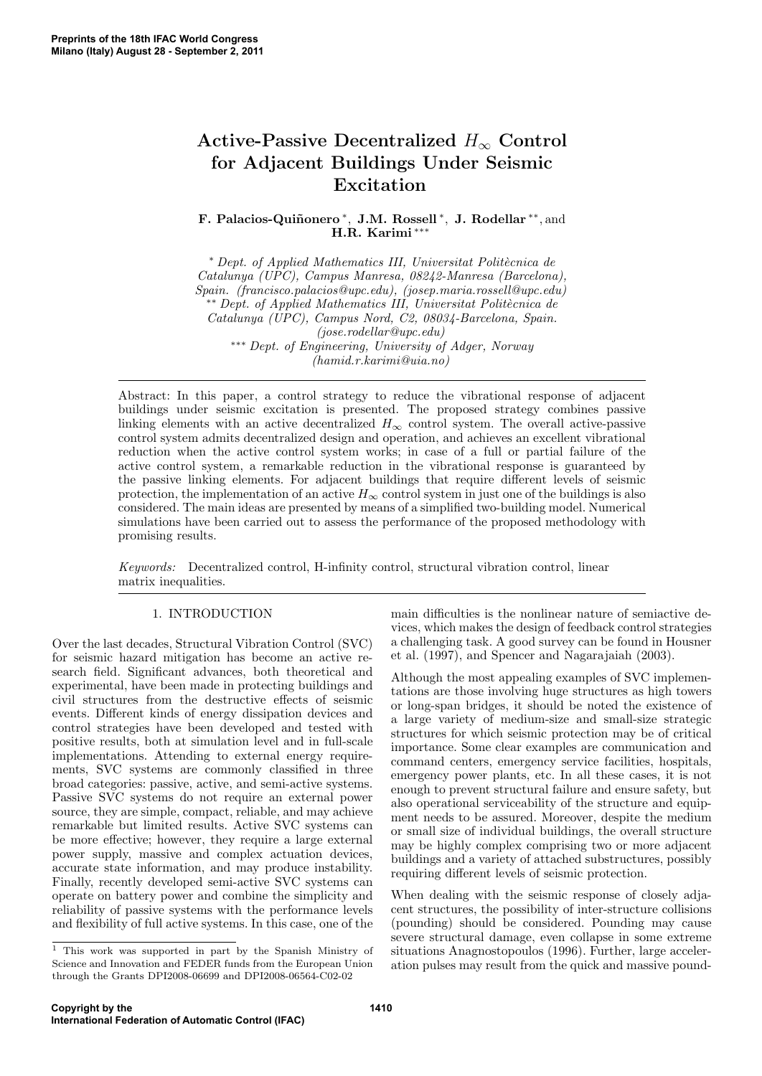# Active-Passive Decentralized  $H_{\infty}$  Control for Adjacent Buildings Under Seismic Excitation

F. Palacios-Quiñonero<sup>\*</sup>, J.M. Rossell<sup>\*</sup>, J. Rodellar<sup>\*\*</sup>, and H.R. Karimi ∗∗∗

<sup>∗</sup> *Dept. of Applied Mathematics III, Universitat Polit`ecnica de Catalunya (UPC), Campus Manresa, 08242-Manresa (Barcelona), Spain. (francisco.palacios@upc.edu), (josep.maria.rossell@upc.edu)* ∗∗ *Dept. of Applied Mathematics III, Universitat Polit`ecnica de Catalunya (UPC), Campus Nord, C2, 08034-Barcelona, Spain. (jose.rodellar@upc.edu)* ∗∗∗ *Dept. of Engineering, University of Adger, Norway (hamid.r.karimi@uia.no)*

Abstract: In this paper, a control strategy to reduce the vibrational response of adjacent buildings under seismic excitation is presented. The proposed strategy combines passive linking elements with an active decentralized  $H_{\infty}$  control system. The overall active-passive control system admits decentralized design and operation, and achieves an excellent vibrational reduction when the active control system works; in case of a full or partial failure of the active control system, a remarkable reduction in the vibrational response is guaranteed by the passive linking elements. For adjacent buildings that require different levels of seismic protection, the implementation of an active  $H_{\infty}$  control system in just one of the buildings is also considered. The main ideas are presented by means of a simplified two-building model. Numerical simulations have been carried out to assess the performance of the proposed methodology with promising results.

*Keywords:* Decentralized control, H-infinity control, structural vibration control, linear matrix inequalities.

# 1. INTRODUCTION

Over the last decades, Structural Vibration Control (SVC) for seismic hazard mitigation has become an active research field. Significant advances, both theoretical and experimental, have been made in protecting buildings and civil structures from the destructive effects of seismic events. Different kinds of energy dissipation devices and control strategies have been developed and tested with positive results, both at simulation level and in full-scale implementations. Attending to external energy requirements, SVC systems are commonly classified in three broad categories: passive, active, and semi-active systems. Passive SVC systems do not require an external power source, they are simple, compact, reliable, and may achieve remarkable but limited results. Active SVC systems can be more effective; however, they require a large external power supply, massive and complex actuation devices, accurate state information, and may produce instability. Finally, recently developed semi-active SVC systems can operate on battery power and combine the simplicity and reliability of passive systems with the performance levels and flexibility of full active systems. In this case, one of the

vices, which makes the design of feedback control strategies a challenging task. A good survey can be found in Housner et al. (1997), and Spencer and Nagarajaiah (2003). Although the most appealing examples of SVC implemen-

main difficulties is the nonlinear nature of semiactive de-

tations are those involving huge structures as high towers or long-span bridges, it should be noted the existence of a large variety of medium-size and small-size strategic structures for which seismic protection may be of critical importance. Some clear examples are communication and command centers, emergency service facilities, hospitals, emergency power plants, etc. In all these cases, it is not enough to prevent structural failure and ensure safety, but also operational serviceability of the structure and equipment needs to be assured. Moreover, despite the medium or small size of individual buildings, the overall structure may be highly complex comprising two or more adjacent buildings and a variety of attached substructures, possibly requiring different levels of seismic protection.

When dealing with the seismic response of closely adjacent structures, the possibility of inter-structure collisions (pounding) should be considered. Pounding may cause severe structural damage, even collapse in some extreme situations Anagnostopoulos (1996). Further, large acceleration pulses may result from the quick and massive pound-

<sup>1</sup> This work was supported in part by the Spanish Ministry of Science and Innovation and FEDER funds from the European Union through the Grants DPI2008-06699 and DPI2008-06564-C02-02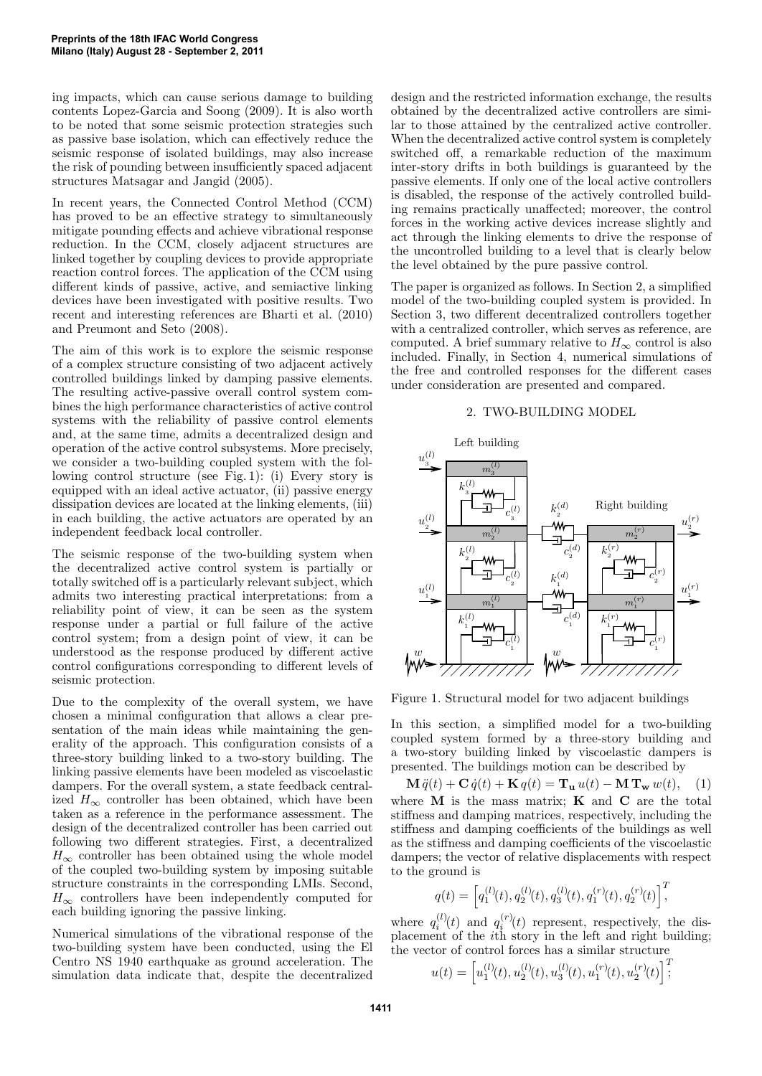ing impacts, which can cause serious damage to building contents Lopez-Garcia and Soong (2009). It is also worth to be noted that some seismic protection strategies such as passive base isolation, which can effectively reduce the seismic response of isolated buildings, may also increase the risk of pounding between insufficiently spaced adjacent structures Matsagar and Jangid (2005).

In recent years, the Connected Control Method (CCM) has proved to be an effective strategy to simultaneously mitigate pounding effects and achieve vibrational response reduction. In the CCM, closely adjacent structures are linked together by coupling devices to provide appropriate reaction control forces. The application of the CCM using different kinds of passive, active, and semiactive linking devices have been investigated with positive results. Two recent and interesting references are Bharti et al. (2010) and Preumont and Seto (2008).

The aim of this work is to explore the seismic response of a complex structure consisting of two adjacent actively controlled buildings linked by damping passive elements. The resulting active-passive overall control system combines the high performance characteristics of active control systems with the reliability of passive control elements and, at the same time, admits a decentralized design and operation of the active control subsystems. More precisely, we consider a two-building coupled system with the following control structure (see Fig. 1): (i) Every story is equipped with an ideal active actuator, (ii) passive energy dissipation devices are located at the linking elements, (iii) in each building, the active actuators are operated by an independent feedback local controller.

The seismic response of the two-building system when the decentralized active control system is partially or totally switched off is a particularly relevant subject, which admits two interesting practical interpretations: from a reliability point of view, it can be seen as the system response under a partial or full failure of the active control system; from a design point of view, it can be understood as the response produced by different active control configurations corresponding to different levels of seismic protection.

Due to the complexity of the overall system, we have chosen a minimal configuration that allows a clear presentation of the main ideas while maintaining the generality of the approach. This configuration consists of a three-story building linked to a two-story building. The linking passive elements have been modeled as viscoelastic dampers. For the overall system, a state feedback centralized  $H_{\infty}$  controller has been obtained, which have been taken as a reference in the performance assessment. The design of the decentralized controller has been carried out following two different strategies. First, a decentralized  $H_{\infty}$  controller has been obtained using the whole model of the coupled two-building system by imposing suitable structure constraints in the corresponding LMIs. Second,  $H_{\infty}$  controllers have been independently computed for each building ignoring the passive linking.

Numerical simulations of the vibrational response of the two-building system have been conducted, using the El Centro NS 1940 earthquake as ground acceleration. The simulation data indicate that, despite the decentralized

design and the restricted information exchange, the results obtained by the decentralized active controllers are similar to those attained by the centralized active controller. When the decentralized active control system is completely switched off, a remarkable reduction of the maximum inter-story drifts in both buildings is guaranteed by the passive elements. If only one of the local active controllers is disabled, the response of the actively controlled building remains practically unaffected; moreover, the control forces in the working active devices increase slightly and act through the linking elements to drive the response of the uncontrolled building to a level that is clearly below the level obtained by the pure passive control.

The paper is organized as follows. In Section 2, a simplified model of the two-building coupled system is provided. In Section 3, two different decentralized controllers together with a centralized controller, which serves as reference, are computed. A brief summary relative to  $H_{\infty}$  control is also included. Finally, in Section 4, numerical simulations of the free and controlled responses for the different cases under consideration are presented and compared.

# 2. TWO-BUILDING MODEL



Figure 1. Structural model for two adjacent buildings

In this section, a simplified model for a two-building coupled system formed by a three-story building and a two-story building linked by viscoelastic dampers is presented. The buildings motion can be described by

 $\mathbf{M}\ddot{q}(t) + \mathbf{C}\dot{q}(t) + \mathbf{K}q(t) = \mathbf{T_u}u(t) - \mathbf{M}\mathbf{T_w}w(t),$  (1) where  $M$  is the mass matrix;  $K$  and  $C$  are the total stiffness and damping matrices, respectively, including the stiffness and damping coefficients of the buildings as well as the stiffness and damping coefficients of the viscoelastic dampers; the vector of relative displacements with respect to the ground is

$$
q(t)=\Big[q_{1}^{(l)}(t),q_{2}^{(l)}(t),q_{3}^{(l)}(t),q_{1}^{(r)}(t),q_{2}^{(r)}(t)\Big]^{T}\!\!,
$$

where  $q_i^{(l)}(t)$  and  $q_i^{(r)}(t)$  represent, respectively, the displacement of the ith story in the left and right building; the vector of control forces has a similar structure

$$
u(t) = \left[ u_1^{(l)}(t), u_2^{(l)}(t), u_3^{(l)}(t), u_1^{(r)}(t), u_2^{(r)}(t) \right];
$$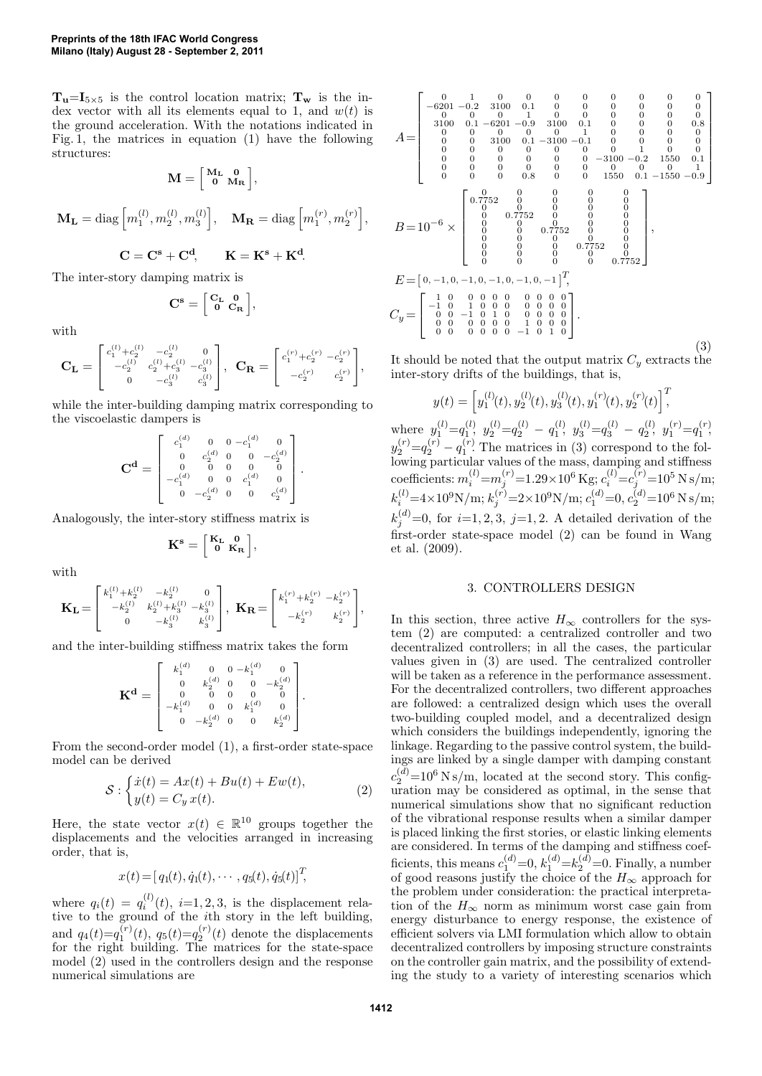$T_{u}$ =I<sub>5×5</sub> is the control location matrix;  $T_{w}$  is the index vector with all its elements equal to 1, and  $w(t)$  is the ground acceleration. With the notations indicated in Fig. 1, the matrices in equation (1) have the following structures:

$$
\mathbf{M} = \left[ \begin{smallmatrix} \mathbf{M_L} & \mathbf{0} \\ \mathbf{0} & \mathbf{M_R} \end{smallmatrix} \right],
$$

$$
\mathbf{M}_{\mathbf{L}} = \text{diag}\left[m_1^{(l)}, m_2^{(l)}, m_3^{(l)}\right], \quad \mathbf{M}_{\mathbf{R}} = \text{diag}\left[m_1^{(r)}, m_2^{(r)}\right],
$$

$$
\mathbf{C} = \mathbf{C^s} + \mathbf{C^d}, \qquad \mathbf{K} = \mathbf{K^s} + \mathbf{K^d}.
$$

The inter-story damping matrix is

$$
\mathbf{C}^{\mathbf{s}} = \left[ \begin{array}{cc} \mathbf{C}_{\mathbf{L}} & \mathbf{0} \\ \mathbf{0} & \mathbf{C}_{\mathbf{R}} \end{array} \right],
$$

with

$$
\mathbf{C_L} = \begin{bmatrix} c_1^{(l)} + c_2^{(l)} & -c_2^{(l)} & 0 \\ -c_2^{(l)} & c_2^{(l)} + c_3^{(l)} & -c_3^{(l)} \\ 0 & -c_3^{(l)} & c_3^{(l)} \end{bmatrix}, \ \ \mathbf{C_R} = \begin{bmatrix} c_1^{(r)} + c_2^{(r)} & -c_2^{(r)} \\ -c_2^{(r)} & c_2^{(r)} \end{bmatrix},
$$

while the inter-building damping matrix corresponding to the viscoelastic dampers is

$$
\mathbf{C}^{\mathbf{d}} = \begin{bmatrix} c_1^{(d)} & 0 & 0 & -c_1^{(d)} & 0 \\ 0 & c_2^{(d)} & 0 & 0 & -c_2^{(d)} \\ 0 & 0 & 0 & 0 & 0 \\ -c_1^{(d)} & 0 & 0 & c_1^{(d)} & 0 \\ 0 & -c_2^{(d)} & 0 & 0 & c_2^{(d)} \end{bmatrix}.
$$

Analogously, the inter-story stiffness matrix is

$$
K^s = \begin{bmatrix} K_L & 0 \\ 0 & K_R \end{bmatrix},
$$

with

$$
\mathbf{K_L} = \begin{bmatrix} k_1^{(l)} + k_2^{(l)} & -k_2^{(l)} & 0 \\ -k_2^{(l)} & k_2^{(l)} + k_3^{(l)} & -k_3^{(l)} \\ 0 & -k_3^{(l)} & k_3^{(l)} \end{bmatrix}, \ \ \mathbf{K_R} = \begin{bmatrix} k_1^{(r)} + k_2^{(r)} & -k_2^{(r)} \\ -k_2^{(r)} & k_2^{(r)} \end{bmatrix},
$$

and the inter-building stiffness matrix takes the form

 $\sim$ 

$$
\mathbf{K}^{\mathbf{d}}=\left[\begin{array}{cccc}k_{1}^{(d)}&0&0-k_{1}^{(d)}&0\\0&k_{2}^{(d)}&0&0&-k_{2}^{(d)}\\0&0&0&0&0\\-k_{1}^{(d)}&0&0&k_{1}^{(d)}&0\\0&-k_{2}^{(d)}&0&0&k_{2}^{(d)}\end{array}\right].
$$

From the second-order model (1), a first-order state-space model can be derived

$$
S: \begin{cases} \dot{x}(t) = Ax(t) + Bu(t) + Ew(t), \\ y(t) = C_y x(t). \end{cases} \tag{2}
$$

Here, the state vector  $x(t) \in \mathbb{R}^{10}$  groups together the displacements and the velocities arranged in increasing order, that is,

$$
x(t) = [q_1(t), \dot{q}_1(t), \cdots, q_5(t), \dot{q}_5(t)]^T,
$$

where  $q_i(t) = q_i^{(l)}(t)$ ,  $i=1,2,3$ , is the displacement relative to the ground of the ith story in the left building, and  $q_4(t) = q_1^{(r)}(t), q_5(t) = q_2^{(r)}(t)$  denote the displacements for the right building. The matrices for the state-space model (2) used in the controllers design and the response numerical simulations are

$$
A = \begin{bmatrix}\n0 & 1 & 0 & 0 & 0 & 0 & 0 & 0 & 0 & 0 & 0 \\
0 & 0 & 0 & 0 & 1 & 0 & 0 & 0 & 0 & 0 & 0 & 0 \\
0 & 0 & 0 & 0 & 1 & 0 & 0 & 0 & 0 & 0 & 0 \\
0 & 0 & 0 & 0 & 1 & 0 & 0 & 0 & 0 & 0 & 0 \\
0 & 0 & 0 & 0 & 0 & 0 & 1 & 0 & 0 & 0 & 0 \\
0 & 0 & 0 & 0 & 0 & 0 & 0 & 1 & 0 & 0 & 0 \\
0 & 0 & 0 & 0 & 0 & 0 & 0 & 0 & 1 & 0 & 0 \\
0 & 0 & 0 & 0 & 0 & 0 & 0 & 0 & 0 & 1 & 0 \\
0 & 0 & 0 & 0 & 0 & 0 & 0 & 0 & 0 & 0 & 1 \\
0 & 0 & 0 & 0 & 0 & 0 & 0 & 0 & 0 & 0 & 0 \\
0 & 0 & 0 & 0 & 0 & 0 & 0 & 0 & 0 & 0 & 0 \\
0 & 0 & 0 & 0 & 0 & 0 & 0 & 0 & 0 & 0 \\
0 & 0 & 0 & 0 & 0 & 0 & 0 & 0 & 0 \\
0 & 0 & 0 & 0 & 0 & 0 & 0 & 0 \\
0 & 0 & 0 & 0 & 0 & 0 & 0 & 0 \\
0 & 0 & 0 & 0 & 0 & 0 & 0 & 0 \\
0 & 0 & 0 & 0 & 0 & 0 & 0 & 0 \\
0 & 0 & 0 & 0 & 0 & 0 & 0 & 0 \\
0 & 0 & 0 & 0 & 0 & 0 & 0 & 0 \\
0 & 0 & 0 & 0 & 0 & 0 & 0 & 0 \\
0 & 0 & 0 & 0 & 0 & 0 & 0 & 0 \\
0 & 0 & 0 & 0 & 0 & 0 & 0 & 0 \\
0 & 0 & 0 & 0 & 0 & 0 & 0 & 0 \\
0 & 0 & 0 & 0 & 0 & 0 & 0 & 0 \\
0 & 0 & 0 & 0 & 0 & 0 & 0 & 0 \\
0 & 0 & 0 & 0 & 0 & 0 & 0 & 0 \\
0 & 0 & 0 & 0 & 0 & 0 & 0 & 0 \\
0 & 0 & 0 & 0 & 0 & 0 &
$$

It should be noted that the output matrix  $C_y$  extracts the inter-story drifts of the buildings, that is,

$$
y(t) = \left[ y_1^{(l)}(t), y_2^{(l)}(t), y_3^{(l)}(t), y_1^{(r)}(t), y_2^{(r)}(t) \right]^T
$$

where  $y_1^{(l)}=q_1^{(l)}$ ,  $y_2^{(l)}=q_2^{(l)}-q_1^{(l)}$ ,  $y_3^{(l)}=q_3^{(l)}-q_2^{(l)}$ ,  $y_1^{(r)}=q_1^{(r)}$ ,  $y_2^{(r)} = q_2^{(r)} - q_1^{(r)}$ . The matrices in (3) correspond to the following particular values of the mass, damping and stiffness coefficients:  $m_i^{(l)} = m_j^{(r)} = 1.29 \times 10^6 \text{ Kg}; c_i^{(l)} = c_j^{(r)} = 10^5 \text{ N s/m};$  $k_i^{(l)} = 4 \times 10^9$ N/m;  $k_j^{(r)} = 2 \times 10^9$ N/m;  $c_1^{(d)} = 0$ ,  $c_2^{(d)} = 10^6$  N s/m;  $k_j^{(d)}=0$ , for  $i=1, 2, 3, j=1, 2$ . A detailed derivation of the first-order state-space model (2) can be found in Wang et al. (2009).

#### 3. CONTROLLERS DESIGN

In this section, three active  $H_{\infty}$  controllers for the system (2) are computed: a centralized controller and two decentralized controllers; in all the cases, the particular values given in (3) are used. The centralized controller will be taken as a reference in the performance assessment. For the decentralized controllers, two different approaches are followed: a centralized design which uses the overall two-building coupled model, and a decentralized design which considers the buildings independently, ignoring the linkage. Regarding to the passive control system, the buildings are linked by a single damper with damping constant  $c_2^{(d)}$ =10<sup>6</sup> N s/m, located at the second story. This configuration may be considered as optimal, in the sense that numerical simulations show that no significant reduction of the vibrational response results when a similar damper is placed linking the first stories, or elastic linking elements are considered. In terms of the damping and stiffness coefficients, this means  $c_1^{(d)}=0$ ,  $k_1^{(d)}=k_2^{(d)}=0$ . Finally, a number of good reasons justify the choice of the  $H_{\infty}$  approach for the problem under consideration: the practical interpretation of the  $H_{\infty}$  norm as minimum worst case gain from energy disturbance to energy response, the existence of efficient solvers via LMI formulation which allow to obtain decentralized controllers by imposing structure constraints on the controller gain matrix, and the possibility of extending the study to a variety of interesting scenarios which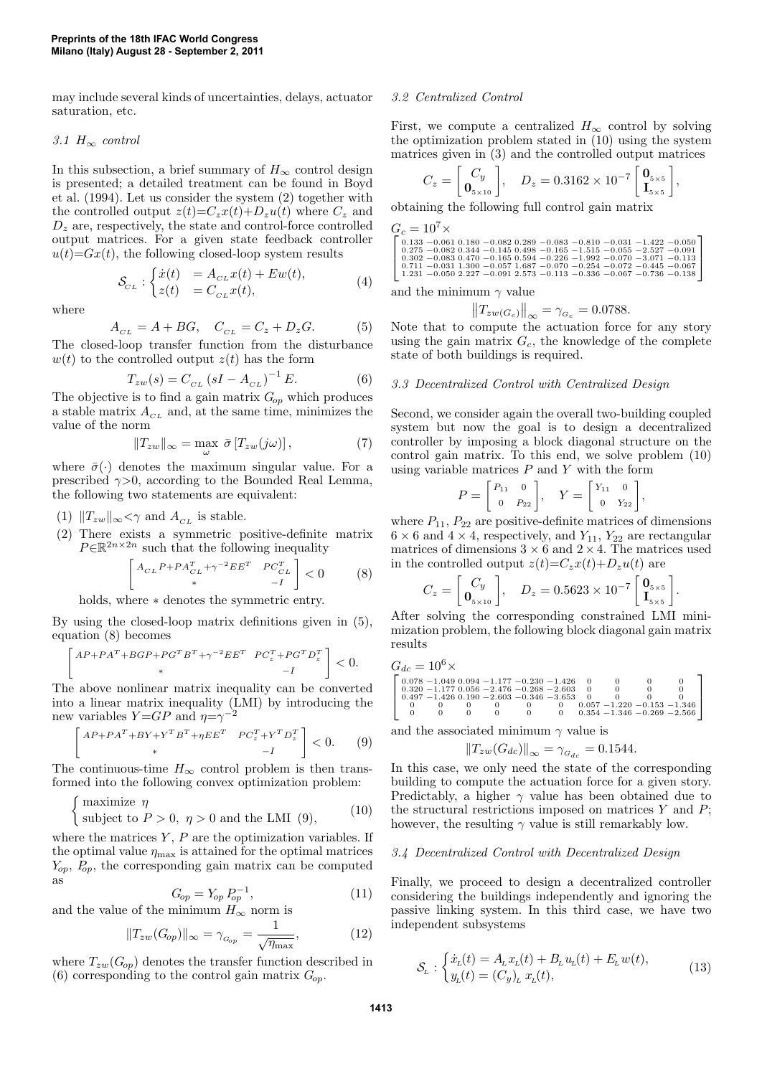may include several kinds of uncertainties, delays, actuator saturation, etc.

### *3.1* H<sup>∞</sup> *control*

In this subsection, a brief summary of  $H_{\infty}$  control design is presented; a detailed treatment can be found in Boyd et al. (1994). Let us consider the system (2) together with the controlled output  $z(t)=C_zx(t)+D_zu(t)$  where  $C_z$  and  $D<sub>z</sub>$  are, respectively, the state and control-force controlled output matrices. For a given state feedback controller  $u(t)=Gx(t)$ , the following closed-loop system results

$$
\mathcal{S}_{CL}: \begin{cases} \dot{x}(t) &= A_{CL}x(t) + Ew(t), \\ z(t) &= C_{CL}x(t), \end{cases} \tag{4}
$$

where

$$
A_{CL} = A + BG, \quad C_{CL} = C_z + D_z G. \tag{5}
$$

The closed-loop transfer function from the disturbance  $w(t)$  to the controlled output  $z(t)$  has the form

$$
T_{zw}(s) = C_{CL} (sI - A_{CL})^{-1} E.
$$
 (6)

The objective is to find a gain matrix  $G_{op}$  which produces a stable matrix  $A_{CL}$  and, at the same time, minimizes the value of the norm

$$
||T_{zw}||_{\infty} = \max_{\omega} \bar{\sigma} [T_{zw}(j\omega)], \qquad (7)
$$

where  $\bar{\sigma}(\cdot)$  denotes the maximum singular value. For a prescribed  $\gamma$ >0, according to the Bounded Real Lemma, the following two statements are equivalent:

- (1)  $||T_{zw}||_{\infty} < \gamma$  and  $A_{CL}$  is stable.
- (2) There exists a symmetric positive-definite matrix  $P \in \mathbb{R}^{2n \times 2n}$  such that the following inequality

$$
\begin{bmatrix} A_{CL} P + P A_{CL}^T + \gamma^{-2} E E^T & P C_{CL}^T \\ * & -I \end{bmatrix} < 0 \tag{8}
$$

holds, where ∗ denotes the symmetric entry.

By using the closed-loop matrix definitions given in (5), equation (8) becomes

$$
\begin{bmatrix} AP + PA^{T} + BGP + PG^{T}B^{T} + \gamma^{-2}EE^{T} & PC_{z}^{T} + PG^{T}D_{z}^{T} \\ * & -I \end{bmatrix} < 0.
$$

The above nonlinear matrix inequality can be converted into a linear matrix inequality (LMI) by introducing the new variables  $Y = GP$  and  $\eta = \gamma^{-2}$ 

$$
\begin{bmatrix} AP + PA^{T} + BY + Y^{T}B^{T} + \eta EE^{T} & PC_{z}^{T} + Y^{T}D_{z}^{T} \\ * & -I \end{bmatrix} < 0.
$$
 (9)

The continuous-time  $H_{\infty}$  control problem is then transformed into the following convex optimization problem:

$$
\begin{cases}\n\text{maximize } \eta \\
\text{subject to } P > 0, \ \eta > 0 \text{ and the LMI (9)},\n\end{cases} \tag{10}
$$

where the matrices  $Y, P$  are the optimization variables. If the optimal value  $\eta_{\text{max}}$  is attained for the optimal matrices  $Y_{op}$ ,  $P_{op}$ , the corresponding gain matrix can be computed as

$$
G_{op} = Y_{op} P_{op}^{-1},
$$
 (11)

and the value of the minimum  $H_{\infty}$  norm is

$$
||T_{zw}(G_{op})||_{\infty} = \gamma_{G_{op}} = \frac{1}{\sqrt{\eta_{\text{max}}}},\tag{12}
$$

where  $T_{zw}(G_{op})$  denotes the transfer function described in (6) corresponding to the control gain matrix  $G_{op}$ .

#### *3.2 Centralized Control*

First, we compute a centralized  $H_{\infty}$  control by solving the optimization problem stated in (10) using the system matrices given in (3) and the controlled output matrices

$$
C_z = \begin{bmatrix} C_y \\ \mathbf{0}_{5\times10} \end{bmatrix}, \quad D_z = 0.3162 \times 10^{-7} \begin{bmatrix} \mathbf{0}_{5\times5} \\ \mathbf{I}_{5\times5} \end{bmatrix},
$$

obtaining the following full control gain matrix

| $G_c = 10^7 \times$ |  |  |  |  |                                                                                 |  |  |  |  |
|---------------------|--|--|--|--|---------------------------------------------------------------------------------|--|--|--|--|
|                     |  |  |  |  | $\vert$ 0.133 -0.061 0.180 -0.082 0.289 -0.083 -0.810 -0.031 -1.422 -0.050      |  |  |  |  |
|                     |  |  |  |  | $\mid$ 0.275 -0.082 0.344 -0.145 0.498 -0.165 -1.515 -0.055 -2.527 -0.091       |  |  |  |  |
|                     |  |  |  |  | $0.302 - 0.083$ $0.470 - 0.165$ $0.594 - 0.226 - 1.992 - 0.070 - 3.071 - 0.113$ |  |  |  |  |
|                     |  |  |  |  | $\vert$ 0.711 -0.031 1.300 -0.057 1.687 -0.070 -0.254 -0.072 -0.445 -0.067      |  |  |  |  |
|                     |  |  |  |  | 1.231 -0.050 2.227 -0.091 2.573 -0.113 -0.336 -0.067 -0.736 -0.138              |  |  |  |  |

and the minimum  $\gamma$  value

$$
||T_{zw(G_c)}||_{\infty} = \gamma_{G_c} = 0.0788.
$$

Note that to compute the actuation force for any story using the gain matrix  $G_c$ , the knowledge of the complete state of both buildings is required.

### *3.3 Decentralized Control with Centralized Design*

Second, we consider again the overall two-building coupled system but now the goal is to design a decentralized controller by imposing a block diagonal structure on the control gain matrix. To this end, we solve problem (10) using variable matrices  $P$  and  $Y$  with the form

$$
P = \begin{bmatrix} P_{11} & 0 \\ 0 & P_{22} \end{bmatrix}, \quad Y = \begin{bmatrix} Y_{11} & 0 \\ 0 & Y_{22} \end{bmatrix},
$$

where  $P_{11}$ ,  $P_{22}$  are positive-definite matrices of dimensions  $6 \times 6$  and  $4 \times 4$ , respectively, and  $Y_{11}$ ,  $Y_{22}$  are rectangular matrices of dimensions  $3 \times 6$  and  $2 \times 4$ . The matrices used in the controlled output  $z(t) = C_z x(t) + D_z u(t)$  are

$$
C_z = \begin{bmatrix} C_y \\ \mathbf{0}_{5 \times 10} \end{bmatrix}, \quad D_z = 0.5623 \times 10^{-7} \begin{bmatrix} \mathbf{0}_{5 \times 5} \\ \mathbf{I}_{5 \times 5} \end{bmatrix}.
$$

After solving the corresponding constrained LMI minimization problem, the following block diagonal gain matrix results

<sup>G</sup>dc <sup>=</sup> <sup>10</sup><sup>6</sup><sup>×</sup> 0.078 −1.049 0.094 −1.177 −0.230 −1.426 0 0 0 0 0.320 −1.177 0.056 −2.476 −0.268 −2.603 0 0 0 0 0.497 −1.426 0.190 −2.603 −0.346 −3.653 0 0 0 0 0 0 0 0 0 0 0.057 −1.220 −0.153 −1.346 0 0 0 0 0 0 0.354 −1.346 −0.269 −2.566 

and the associated minimum  $\gamma$  value is

$$
||T_{zw}(G_{dc})||_{\infty} = \gamma_{G_{dc}} = 0.1544.
$$

In this case, we only need the state of the corresponding building to compute the actuation force for a given story. Predictably, a higher  $\gamma$  value has been obtained due to the structural restrictions imposed on matrices  $Y$  and  $P$ ; however, the resulting  $\gamma$  value is still remarkably low.

#### *3.4 Decentralized Control with Decentralized Design*

Finally, we proceed to design a decentralized controller considering the buildings independently and ignoring the passive linking system. In this third case, we have two independent subsystems

$$
\mathcal{S}_{L} : \begin{cases} \dot{x}_{L}(t) = A_{L} x_{L}(t) + B_{L} u_{L}(t) + E_{L} w(t), \\ y_{L}(t) = (C_{y})_{L} x_{L}(t), \end{cases}
$$
(13)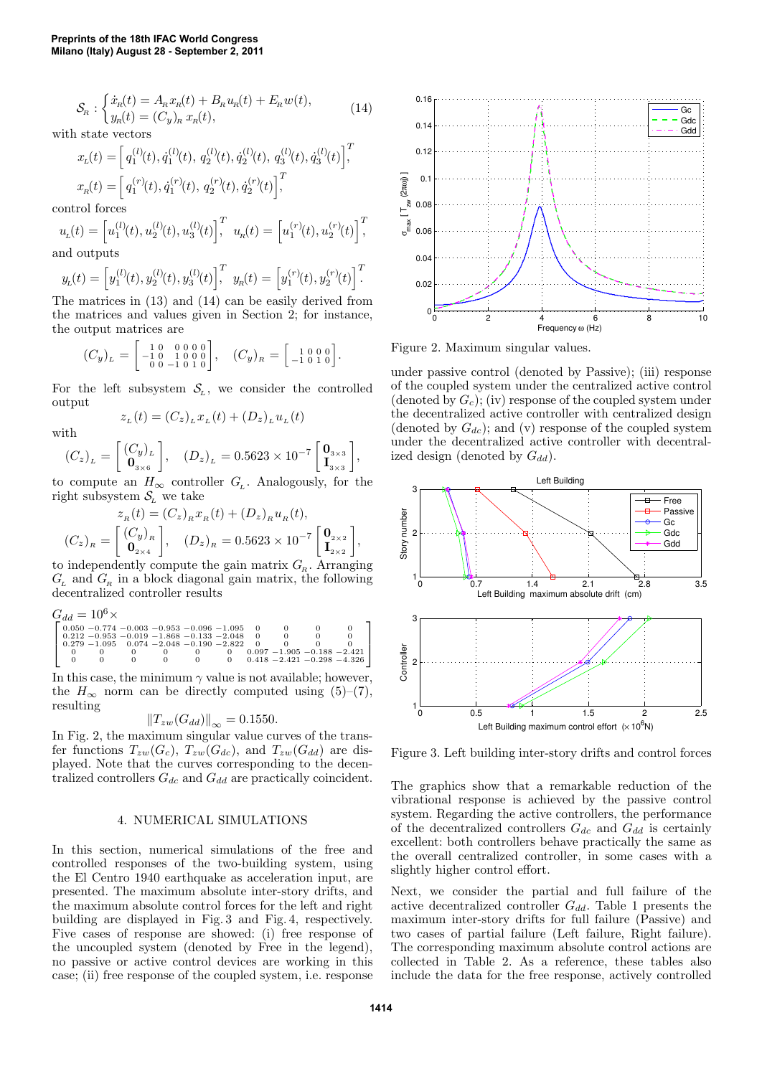$$
S_{R}: \begin{cases} \dot{x}_{R}(t) = A_{R}x_{R}(t) + B_{R}u_{R}(t) + E_{R}w(t), \\ y_{R}(t) = (C_{y})_{R}x_{R}(t), \end{cases}
$$
(14)

with state vectors

$$
\begin{aligned} x_{\rm L}(t) &= \Big[\,q_{1}^{(l)}(t), \dot{q}_{1}^{(l)}(t), \, q_{2}^{(l)}(t), \dot{q}_{2}^{(l)}(t), \, q_{3}^{(l)}(t), \dot{q}_{3}^{(l)}(t)\Big]^T\!\!, \\ x_{\rm R}(t) &= \Big[\,q_{1}^{(r)}(t), \dot{q}_{1}^{(r)}(t), \, q_{2}^{(r)}(t), \dot{q}_{2}^{(r)}(t)\Big]^T\!\!, \end{aligned}
$$

control forces

$$
u_{L}(t) = \left[u_{1}^{(l)}(t), u_{2}^{(l)}(t), u_{3}^{(l)}(t)\right]_{1}^{T} u_{R}(t) = \left[u_{1}^{(r)}(t), u_{2}^{(r)}(t)\right]_{1}^{T}
$$

and outputs

$$
y_{L}(t) = \left[y_{1}^{(l)}(t), y_{2}^{(l)}(t), y_{3}^{(l)}(t)\right]^{T} y_{R}(t) = \left[y_{1}^{(r)}(t), y_{2}^{(r)}(t)\right]^{T}
$$

The matrices in (13) and (14) can be easily derived from the matrices and values given in Section 2; for instance, the output matrices are

$$
(C_y)_L = \begin{bmatrix} 1 & 0 & 0 & 0 & 0 \\ -1 & 0 & 1 & 0 & 0 & 0 \\ 0 & 0 & -1 & 0 & 1 & 0 \end{bmatrix}, \quad (C_y)_R = \begin{bmatrix} 1 & 0 & 0 & 0 \\ -1 & 0 & 1 & 0 \end{bmatrix}.
$$

For the left subsystem  $S_L$ , we consider the controlled output  $z_{L}(t) = (C_{z})_{L} x_{L}(t) + (D_{z})_{L} u_{L}(t)$ 

with

$$
(C_z)__L = \left[\!\! \begin{array}{c} (C_y)_L \\ {\bf 0}_{3\times 6} \end{array} \!\!\right]\!, \quad (D_z)_L = 0.5623 \times 10^{-7} \left[\!\! \begin{array}{c} {\bf 0}_{3\times 3} \\ {\bf I}_{3\times 3} \end{array} \!\!\right]\!,
$$

to compute an  $H_{\infty}$  controller  $G_{\iota}$ . Analogously, for the right subsystem  $S_L$  we take

$$
z_{R}(t) = (C_{z})_{R} x_{R}(t) + (D_{z})_{R} u_{R}(t),
$$

$$
(C_{z})_{R} = \begin{bmatrix} (C_{y})_{R} \\ \mathbf{0}_{2 \times 4} \end{bmatrix}, \quad (D_{z})_{R} = 0.5623 \times 10^{-7} \begin{bmatrix} \mathbf{0}_{2 \times 2} \\ \mathbf{I}_{2 \times 2} \end{bmatrix},
$$

to independently compute the gain matrix  $G<sub>R</sub>$ . Arranging  $G_{\rm L}$  and  $G_{\rm R}$  in a block diagonal gain matrix, the following decentralized controller results

Gdd = 10 6× 0.050 −0.774 −0.003 −0.953 −0.096 −1.095 0 0 0 0 0.212 −0.953 −0.019 −1.868 −0.133 −2.048 0 0 0 0 0.279 −1.095 0.074 −2.048 −0.190 −2.822 0 0 0 0 0 0 0 0 0 0 0.097 −1.905 −0.188 −2.421 0 0 0 0 0 0 0.418 −2.421 −0.298 −4.326 

In this case, the minimum  $\gamma$  value is not available; however, the  $H_{\infty}$  norm can be directly computed using (5)–(7), resulting

$$
||T_{zw}(G_{dd})||_{\infty} = 0.1550.
$$

In Fig. 2, the maximum singular value curves of the transfer functions  $T_{zw}(G_c)$ ,  $T_{zw}(G_{dc})$ , and  $T_{zw}(G_{dd})$  are displayed. Note that the curves corresponding to the decentralized controllers  $G_{dc}$  and  $G_{dd}$  are practically coincident.

#### 4. NUMERICAL SIMULATIONS

In this section, numerical simulations of the free and controlled responses of the two-building system, using the El Centro 1940 earthquake as acceleration input, are presented. The maximum absolute inter-story drifts, and the maximum absolute control forces for the left and right building are displayed in Fig. 3 and Fig. 4, respectively. Five cases of response are showed: (i) free response of the uncoupled system (denoted by Free in the legend), no passive or active control devices are working in this case; (ii) free response of the coupled system, i.e. response



Figure 2. Maximum singular values.

under passive control (denoted by Passive); (iii) response of the coupled system under the centralized active control (denoted by  $G_c$ ); (iv) response of the coupled system under the decentralized active controller with centralized design (denoted by  $G_{dc}$ ); and (v) response of the coupled system under the decentralized active controller with decentralized design (denoted by  $G_{dd}$ ).



Figure 3. Left building inter-story drifts and control forces

The graphics show that a remarkable reduction of the vibrational response is achieved by the passive control system. Regarding the active controllers, the performance of the decentralized controllers  $G_{dc}$  and  $G_{dd}$  is certainly excellent: both controllers behave practically the same as the overall centralized controller, in some cases with a slightly higher control effort.

Next, we consider the partial and full failure of the active decentralized controller  $G_{dd}$ . Table 1 presents the maximum inter-story drifts for full failure (Passive) and two cases of partial failure (Left failure, Right failure). The corresponding maximum absolute control actions are collected in Table 2. As a reference, these tables also include the data for the free response, actively controlled